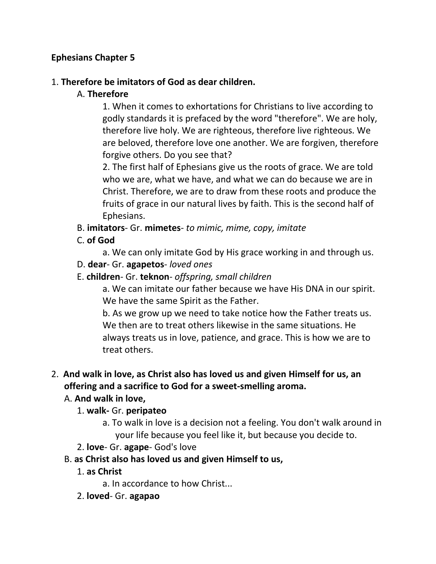## **Ephesians Chapter 5**

#### 1. **Therefore be imitators of God as dear children.**

### A. **Therefore**

1. When it comes to exhortations for Christians to live according to godly standards it is prefaced by the word "therefore". We are holy, therefore live holy. We are righteous, therefore live righteous. We are beloved, therefore love one another. We are forgiven, therefore forgive others. Do you see that?

2. The first half of Ephesians give us the roots of grace. We are told who we are, what we have, and what we can do because we are in Christ. Therefore, we are to draw from these roots and produce the fruits of grace in our natural lives by faith. This is the second half of Ephesians.

B. **imitators**- Gr. **mimetes**- *to mimic, mime, copy, imitate*

C. **of God**

a. We can only imitate God by His grace working in and through us.

D. **dear**- Gr. **agapetos**- *loved ones*

### E. **children**- Gr. **teknon**- *offspring, small children*

a. We can imitate our father because we have His DNA in our spirit. We have the same Spirit as the Father.

b. As we grow up we need to take notice how the Father treats us. We then are to treat others likewise in the same situations. He always treats us in love, patience, and grace. This is how we are to treat others.

# 2. **And walk in love, as Christ also has loved us and given Himself for us, an offering and a sacrifice to God for a sweet-smelling aroma.**

## A. **And walk in love,**

#### 1. **walk-** Gr. **peripateo**

- a. To walk in love is a decision not a feeling. You don't walk around in your life because you feel like it, but because you decide to.
- 2. **love** Gr. **agape** God's love
- B. **as Christ also has loved us and given Himself to us,**
	- 1. **as Christ**
		- a. In accordance to how Christ...
	- 2. **loved** Gr. **agapao**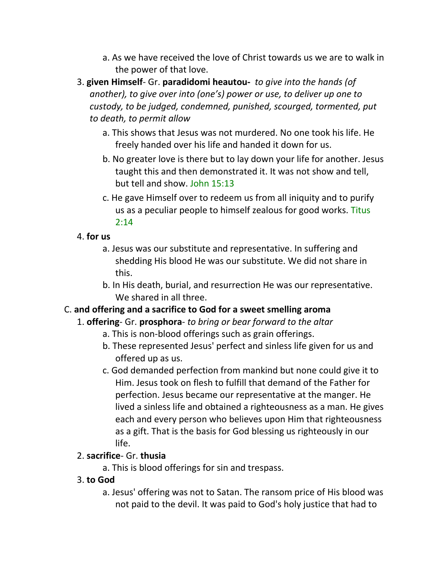- a. As we have received the love of Christ towards us we are to walk in the power of that love.
- 3. **given Himself** Gr. **paradidomi heautou-** *to give into the hands (of another), to give over into (one's) power or use, to deliver up one to custody, to be judged, condemned, punished, scourged, tormented, put to death, to permit allow*
	- a. This shows that Jesus was not murdered. No one took his life. He freely handed over his life and handed it down for us.
	- b. No greater love is there but to lay down your life for another. Jesus taught this and then demonstrated it. It was not show and tell, but tell and show. John 15:13
	- c. He gave Himself over to redeem us from all iniquity and to purify us as a peculiar people to himself zealous for good works. Titus 2:14
- 4. **for us**
	- a. Jesus was our substitute and representative. In suffering and shedding His blood He was our substitute. We did not share in this.
	- b. In His death, burial, and resurrection He was our representative. We shared in all three.

# C. **and offering and a sacrifice to God for a sweet smelling aroma**

- 1. **offering** Gr. **prosphora** *to bring or bear forward to the altar*
	- a. This is non-blood offerings such as grain offerings.
	- b. These represented Jesus' perfect and sinless life given for us and offered up as us.
	- c. God demanded perfection from mankind but none could give it to Him. Jesus took on flesh to fulfill that demand of the Father for perfection. Jesus became our representative at the manger. He lived a sinless life and obtained a righteousness as a man. He gives each and every person who believes upon Him that righteousness as a gift. That is the basis for God blessing us righteously in our life.

## 2. **sacrifice**- Gr. **thusia**

- a. This is blood offerings for sin and trespass.
- 3. **to God**
	- a. Jesus' offering was not to Satan. The ransom price of His blood was not paid to the devil. It was paid to God's holy justice that had to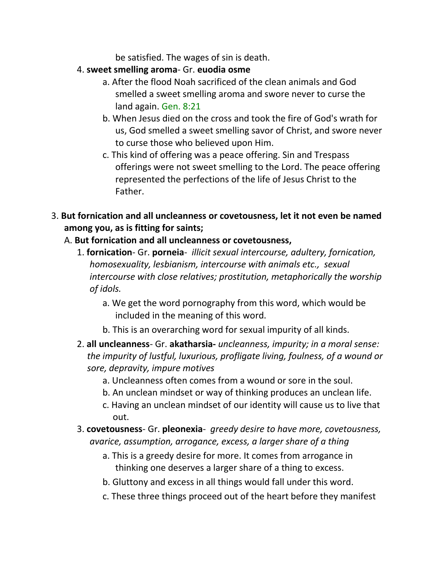be satisfied. The wages of sin is death.

- 4. **sweet smelling aroma** Gr. **euodia osme**
	- a. After the flood Noah sacrificed of the clean animals and God smelled a sweet smelling aroma and swore never to curse the land again. Gen. 8:21
	- b. When Jesus died on the cross and took the fire of God's wrath for us, God smelled a sweet smelling savor of Christ, and swore never to curse those who believed upon Him.
	- c. This kind of offering was a peace offering. Sin and Trespass offerings were not sweet smelling to the Lord. The peace offering represented the perfections of the life of Jesus Christ to the Father.
- 3. **But fornication and all uncleanness or covetousness, let it not even be named among you, as is fitting for saints;**
	- A. **But fornication and all uncleanness or covetousness,**
		- 1. **fornication** Gr. **porneia** *illicit sexual intercourse, adultery, fornication, homosexuality, lesbianism, intercourse with animals etc., sexual intercourse with close relatives; prostitution, metaphorically the worship of idols.*
			- a. We get the word pornography from this word, which would be included in the meaning of this word.
			- b. This is an overarching word for sexual impurity of all kinds.
		- 2. **all uncleanness** Gr. **akatharsia-** *uncleanness, impurity; in a moral sense: the impurity of lustful, luxurious, profligate living, foulness, of a wound or sore, depravity, impure motives*
			- a. Uncleanness often comes from a wound or sore in the soul.
			- b. An unclean mindset or way of thinking produces an unclean life.
			- c. Having an unclean mindset of our identity will cause us to live that out.
		- 3. **covetousness** Gr. **pleonexia** *greedy desire to have more, covetousness, avarice, assumption, arrogance, excess, a larger share of a thing*
			- a. This is a greedy desire for more. It comes from arrogance in thinking one deserves a larger share of a thing to excess.
			- b. Gluttony and excess in all things would fall under this word.
			- c. These three things proceed out of the heart before they manifest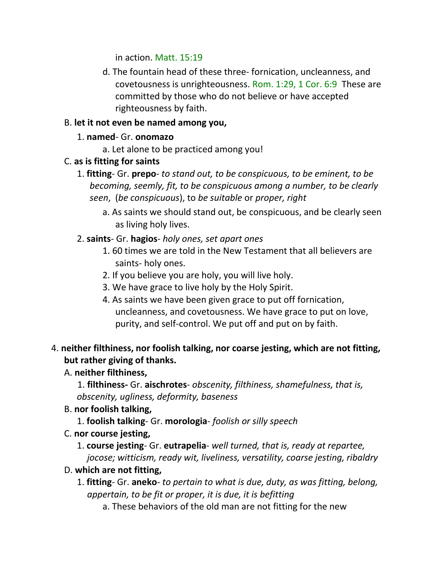in action. Matt. 15:19

d. The fountain head of these three- fornication, uncleanness, and covetousness is unrighteousness. Rom. 1:29, 1 Cor. 6:9 These are committed by those who do not believe or have accepted righteousness by faith.

## B. **let it not even be named among you,**

- 1. **named** Gr. **onomazo**
	- a. Let alone to be practiced among you!

# C. **as is fitting for saints**

- 1. **fitting** Gr. **prepo** *to stand out, to be conspicuous, to be eminent, to be becoming, seemly, fit, to be conspicuous among a number, to be clearly seen*, (*be conspicuous*), to *be suitable* or *proper, right*
	- a. As saints we should stand out, be conspicuous, and be clearly seen as living holy lives.
- 2. **saints** Gr. **hagios** *holy ones, set apart ones*
	- 1. 60 times we are told in the New Testament that all believers are saints- holy ones.
	- 2. If you believe you are holy, you will live holy.
	- 3. We have grace to live holy by the Holy Spirit.
	- 4. As saints we have been given grace to put off fornication, uncleanness, and covetousness. We have grace to put on love, purity, and self-control. We put off and put on by faith.

# 4. **neither filthiness, nor foolish talking, nor coarse jesting, which are not fitting, but rather giving of thanks.**

# A. **neither filthiness,**

1. **filthiness-** Gr. **aischrotes**- *obscenity, filthiness, shamefulness, that is, obscenity, ugliness, deformity, baseness*

# B. **nor foolish talking,**

- 1. **foolish talking** Gr. **morologia** *foolish or silly speech*
- C. **nor course jesting,**
	- 1. **course jesting** Gr. **eutrapelia** *well turned, that is, ready at repartee,*

*jocose; witticism, ready wit, liveliness, versatility, coarse jesting, ribaldry*

## D. **which are not fitting,**

- 1. **fitting** Gr. **aneko** *to pertain to what is due, duty, as was fitting, belong, appertain, to be fit or proper, it is due, it is befitting*
	- a. These behaviors of the old man are not fitting for the new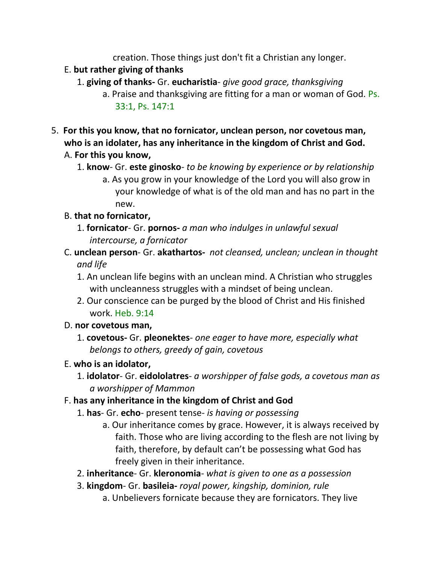creation. Those things just don't fit a Christian any longer.

## E. **but rather giving of thanks**

- 1. **giving of thanks-** Gr. **eucharistia** *give good grace, thanksgiving*
	- a. Praise and thanksgiving are fitting for a man or woman of God. Ps. 33:1, Ps. 147:1
- 5. **For this you know, that no fornicator, unclean person, nor covetous man, who is an idolater, has any inheritance in the kingdom of Christ and God.**  A. **For this you know,**
	- 1. **know** Gr. **este ginosko** *to be knowing by experience or by relationship*
		- a. As you grow in your knowledge of the Lord you will also grow in your knowledge of what is of the old man and has no part in the new.

# B. **that no fornicator,**

- 1. **fornicator** Gr. **pornos-** *a man who indulges in unlawful sexual intercourse, a fornicator*
- C. **unclean person** Gr. **akathartos-** *not cleansed, unclean; unclean in thought and life*
	- 1. An unclean life begins with an unclean mind. A Christian who struggles with uncleanness struggles with a mindset of being unclean.
	- 2. Our conscience can be purged by the blood of Christ and His finished work. Heb. 9:14
- D. **nor covetous man,**
	- 1. **covetous-** Gr. **pleonektes** *one eager to have more, especially what belongs to others, greedy of gain, covetous*

# E. **who is an idolator,**

1. **idolator**- Gr. **eidololatres**- *a worshipper of false gods, a covetous man as a worshipper of Mammon*

# F. **has any inheritance in the kingdom of Christ and God**

- 1. **has** Gr. **echo** present tense- *is having or possessing*
	- a. Our inheritance comes by grace. However, it is always received by faith. Those who are living according to the flesh are not living by faith, therefore, by default can't be possessing what God has freely given in their inheritance.
- 2. **inheritance** Gr. **kleronomia** *what is given to one as a possession*
- 3. **kingdom** Gr. **basileia-** *royal power, kingship, dominion, rule*
	- a. Unbelievers fornicate because they are fornicators. They live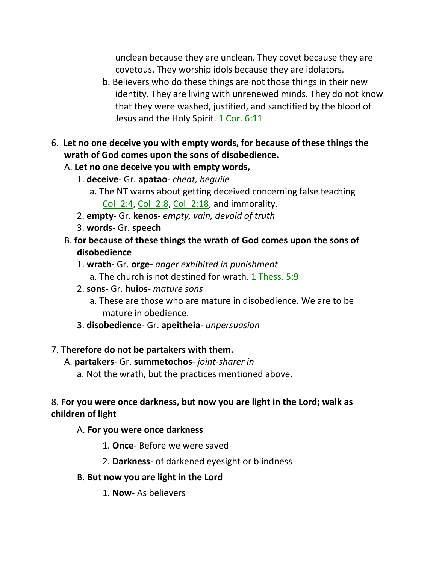unclean because they are unclean. They covet because they are covetous. They worship idols because they are idolators.

- b. Believers who do these things are not those things in their new identity. They are living with unrenewed minds. They do not know that they were washed, justified, and sanctified by the blood of Jesus and the Holy Spirit. 1 Cor. 6:11
- 6. **Let no one deceive you with empty words, for because of these things the wrath of God comes upon the sons of disobedience.**
	- A. **Let no one deceive you with empty words,**
		- 1. **deceive** Gr. **apatao** *cheat, beguile*
			- a. The NT warns about getting deceived concerning false teaching Col  $2:4$ , Col  $2:8$ , Col  $2:18$ , and immorality.
		- 2. **empty** Gr. **kenos** *empty, vain, devoid of truth*
		- 3. **words** Gr. **speech**
	- B. **for because of these things the wrath of God comes upon the sons of disobedience**
		- 1. **wrath-** Gr. **orge-** *anger exhibited in punishment*
			- a. The church is not destined for wrath. 1 Thess. 5:9
		- 2. **sons** Gr. **huios-** *mature sons*
			- a. These are those who are mature in disobedience. We are to be mature in obedience.
		- 3. **disobedience** Gr. **apeitheia** *unpersuasion*

#### 7. **Therefore do not be partakers with them.**

A. **partakers**- Gr. **summetochos**- *joint-sharer in*

a. Not the wrath, but the practices mentioned above.

#### 8. **For you were once darkness, but now you are light in the Lord; walk as children of light**

#### A. **For you were once darkness**

1. **Once**- Before we were saved

2. **Darkness**- of darkened eyesight or blindness

#### B. **But now you are light in the Lord**

1. **Now**- As believers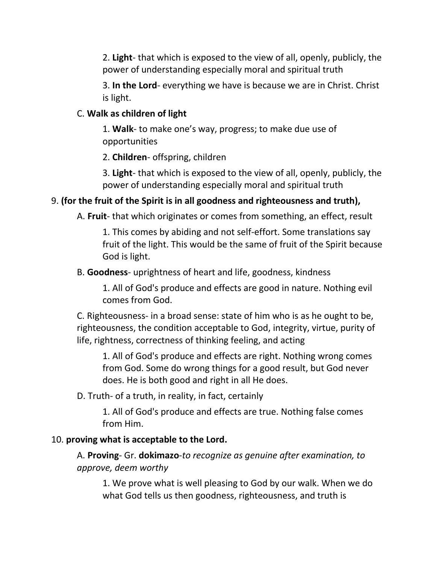2. **Light**- that which is exposed to the view of all, openly, publicly, the power of understanding especially moral and spiritual truth

3. **In the Lord**- everything we have is because we are in Christ. Christ is light.

#### C. **Walk as children of light**

1. **Walk**- to make one's way, progress; to make due use of opportunities

2. **Children**- offspring, children

3. **Light**- that which is exposed to the view of all, openly, publicly, the power of understanding especially moral and spiritual truth

## 9. **(for the fruit of the Spirit is in all goodness and righteousness and truth),**

A. **Fruit**- that which originates or comes from something, an effect, result

1. This comes by abiding and not self-effort. Some translations say fruit of the light. This would be the same of fruit of the Spirit because God is light.

B. **Goodness**- uprightness of heart and life, goodness, kindness

1. All of God's produce and effects are good in nature. Nothing evil comes from God.

C. Righteousness- in a broad sense: state of him who is as he ought to be, righteousness, the condition acceptable to God, integrity, virtue, purity of life, rightness, correctness of thinking feeling, and acting

1. All of God's produce and effects are right. Nothing wrong comes from God. Some do wrong things for a good result, but God never does. He is both good and right in all He does.

D. Truth- of a truth, in reality, in fact, certainly

1. All of God's produce and effects are true. Nothing false comes from Him.

#### 10. **proving what is acceptable to the Lord.**

A. **Proving**- Gr. **dokimazo**-*to recognize as genuine after examination, to approve, deem worthy*

1. We prove what is well pleasing to God by our walk. When we do what God tells us then goodness, righteousness, and truth is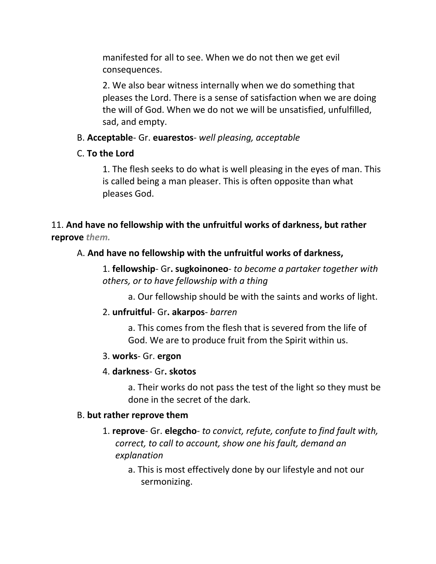manifested for all to see. When we do not then we get evil consequences.

2. We also bear witness internally when we do something that pleases the Lord. There is a sense of satisfaction when we are doing the will of God. When we do not we will be unsatisfied, unfulfilled, sad, and empty.

### B. **Acceptable**- Gr. **euarestos**- *well pleasing, acceptable*

## C. **To the Lord**

1. The flesh seeks to do what is well pleasing in the eyes of man. This is called being a man pleaser. This is often opposite than what pleases God.

11. **And have no fellowship with the unfruitful works of darkness, but rather reprove** *them.*

### A. **And have no fellowship with the unfruitful works of darkness,**

1. **fellowship**- Gr**. sugkoinoneo**- *to become a partaker together with others, or to have fellowship with a thing*

a. Our fellowship should be with the saints and works of light.

#### 2. **unfruitful**- Gr**. akarpos**- *barren*

a. This comes from the flesh that is severed from the life of God. We are to produce fruit from the Spirit within us.

#### 3. **works**- Gr. **ergon**

#### 4. **darkness**- Gr**. skotos**

a. Their works do not pass the test of the light so they must be done in the secret of the dark.

#### B. **but rather reprove them**

- 1. **reprove** Gr. **elegcho***- to convict, refute, confute to find fault with, correct, to call to account, show one his fault, demand an explanation*
	- a. This is most effectively done by our lifestyle and not our sermonizing.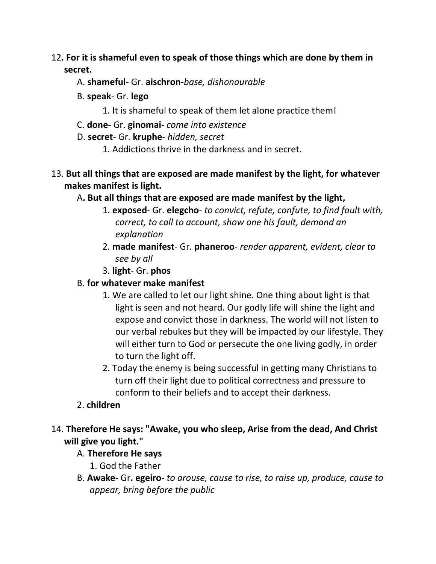## 12**. For it is shameful even to speak of those things which are done by them in secret.**

- A. **shameful** Gr. **aischron**-*base, dishonourable*
- B. **speak** Gr. **lego**
	- 1. It is shameful to speak of them let alone practice them!
- C. **done-** Gr. **ginomai-** *come into existence*
- D. **secret** Gr. **kruphe** *hidden, secret*
	- 1. Addictions thrive in the darkness and in secret.
- 13. **But all things that are exposed are made manifest by the light, for whatever makes manifest is light.** 
	- A**. But all things that are exposed are made manifest by the light,**
		- 1. **exposed** Gr. **elegcho***- to convict, refute, confute, to find fault with, correct, to call to account, show one his fault, demand an explanation*
		- 2. **made manifest** Gr. **phaneroo** *render apparent, evident, clear to see by all*
		- 3. **light** Gr. **phos**

### B. **for whatever make manifest**

- 1. We are called to let our light shine. One thing about light is that light is seen and not heard. Our godly life will shine the light and expose and convict those in darkness. The world will not listen to our verbal rebukes but they will be impacted by our lifestyle. They will either turn to God or persecute the one living godly, in order to turn the light off.
- 2. Today the enemy is being successful in getting many Christians to turn off their light due to political correctness and pressure to conform to their beliefs and to accept their darkness.

## 2. **children**

# 14. **Therefore He says: "Awake, you who sleep, Arise from the dead, And Christ will give you light."**

## A. **Therefore He says**

- 1. God the Father
- B. **Awake** Gr**. egeiro** *to arouse, cause to rise, to raise up, produce, cause to appear, bring before the public*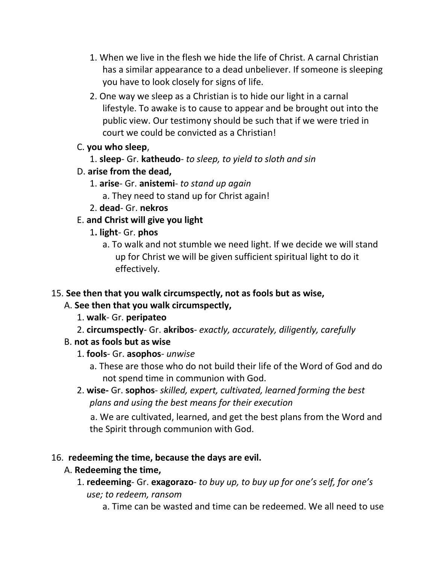- 1. When we live in the flesh we hide the life of Christ. A carnal Christian has a similar appearance to a dead unbeliever. If someone is sleeping you have to look closely for signs of life.
- 2. One way we sleep as a Christian is to hide our light in a carnal lifestyle. To awake is to cause to appear and be brought out into the public view. Our testimony should be such that if we were tried in court we could be convicted as a Christian!

## C. **you who sleep**,

1. **sleep**- Gr. **katheudo**- *to sleep, to yield to sloth and sin*

## D. **arise from the dead,**

- 1. **arise** Gr. **anistemi** *to stand up again*
	- a. They need to stand up for Christ again!
- 2. **dead** Gr. **nekros**

## E. **and Christ will give you light**

- 1**. light** Gr. **phos**
	- a. To walk and not stumble we need light. If we decide we will stand up for Christ we will be given sufficient spiritual light to do it effectively.

## 15. **See then that you walk circumspectly, not as fools but as wise,**

## A. **See then that you walk circumspectly,**

- 1. **walk** Gr. **peripateo**
- 2. **circumspectly** Gr. **akribos** *exactly, accurately, diligently, carefully*
- B. **not as fools but as wise**
	- 1. **fools** Gr. **asophos** *unwise*
		- a. These are those who do not build their life of the Word of God and do not spend time in communion with God.
	- 2. **wise-** Gr. **sophos** *skilled, expert, cultivated, learned forming the best plans and using the best means for their execution*

 a. We are cultivated, learned, and get the best plans from the Word and the Spirit through communion with God.

## 16. **redeeming the time, because the days are evil.**

## A. **Redeeming the time,**

- 1. **redeeming** Gr. **exagorazo** *to buy up, to buy up for one's self, for one's use; to redeem, ransom*
	- a. Time can be wasted and time can be redeemed. We all need to use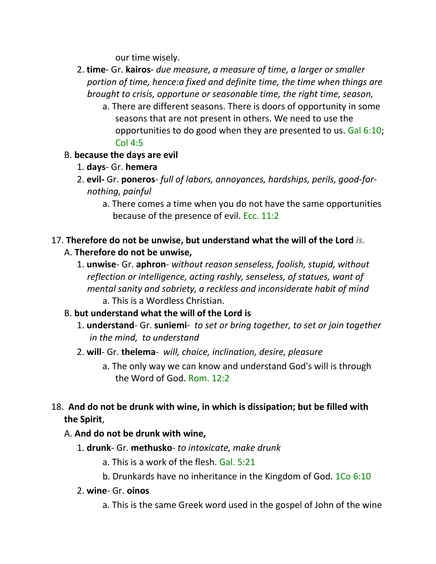our time wisely.

- 2. **time** Gr. **kairos** *due measure, a measure of time, a larger or smaller portion of time, hence:a fixed and definite time, the time when things are brought to crisis, opportune or seasonable time, the right time, season,*
	- a. There are different seasons. There is doors of opportunity in some seasons that are not present in others. We need to use the opportunities to do good when they are presented to us. Gal 6:10; Col 4:5

### B. **because the days are evil**

- 1. **days** Gr. **hemera**
- 2. **evil-** Gr. **poneros** *full of labors, annoyances, hardships, perils, good-fornothing, painful* 
	- a. There comes a time when you do not have the same opportunities because of the presence of evil. Ecc. 11:2
- 17. **Therefore do not be unwise, but understand what the will of the Lord** *is.* A. **Therefore do not be unwise,**
	- 1. **unwise** Gr. **aphron** *without reason senseless, foolish, stupid, without reflection or intelligence, acting rashly, senseless, of statues, want of mental sanity and sobriety, a reckless and inconsiderate habit of mind* a. This is a Wordless Christian.

## B. **but understand what the will of the Lord is**

- 1. **understand** Gr. **suniemi** *to set or bring together, to set or join together in the mind, to understand*
- 2. **will** Gr. **thelema** *will, choice, inclination, desire, pleasure*
	- a. The only way we can know and understand God's will is through the Word of God. Rom. 12:2

# 18. **And do not be drunk with wine, in which is dissipation; but be filled with the Spirit**,

## A. **And do not be drunk with wine,**

- 1. **drunk** Gr. **methusko** *to intoxicate, make drunk*
	- a. This is a work of the flesh. Gal. 5:21
	- b. Drunkards have no inheritance in the Kingdom of God. 1Co 6:10
- 2. **wine** Gr. **oinos**
	- a. This is the same Greek word used in the gospel of John of the wine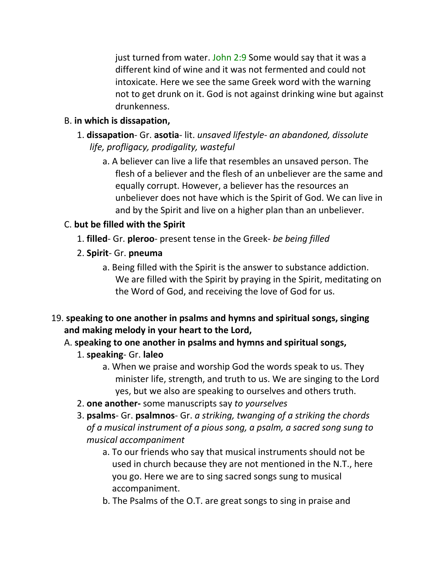just turned from water. John 2:9 Some would say that it was a different kind of wine and it was not fermented and could not intoxicate. Here we see the same Greek word with the warning not to get drunk on it. God is not against drinking wine but against drunkenness.

## B. **in which is dissapation,**

- 1. **dissapation** Gr. **asotia** lit. *unsaved lifestyle an abandoned, dissolute life, profligacy, prodigality, wasteful*
	- a. A believer can live a life that resembles an unsaved person. The flesh of a believer and the flesh of an unbeliever are the same and equally corrupt. However, a believer has the resources an unbeliever does not have which is the Spirit of God. We can live in and by the Spirit and live on a higher plan than an unbeliever.

## C. **but be filled with the Spirit**

- 1. **filled** Gr. **pleroo** present tense in the Greek- *be being filled*
- 2. **Spirit** Gr. **pneuma**
	- a. Being filled with the Spirit is the answer to substance addiction. We are filled with the Spirit by praying in the Spirit, meditating on the Word of God, and receiving the love of God for us.
- 19. **speaking to one another in psalms and hymns and spiritual songs, singing and making melody in your heart to the Lord,** 
	- A. **speaking to one another in psalms and hymns and spiritual songs,**
		- 1. **speaking** Gr. **laleo**
			- a. When we praise and worship God the words speak to us. They minister life, strength, and truth to us. We are singing to the Lord yes, but we also are speaking to ourselves and others truth.
		- 2. **one another-** some manuscripts say *to yourselves*
		- 3. **psalms** Gr. **psalmnos** Gr. *a striking, twanging of a striking the chords of a musical instrument of a pious song, a psalm, a sacred song sung to musical accompaniment*
			- a. To our friends who say that musical instruments should not be used in church because they are not mentioned in the N.T., here you go. Here we are to sing sacred songs sung to musical accompaniment.
			- b. The Psalms of the O.T. are great songs to sing in praise and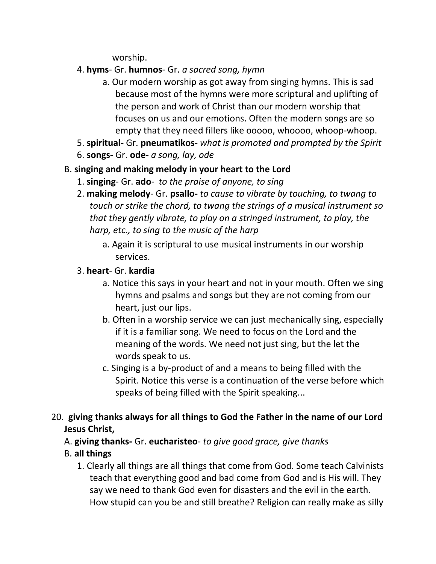worship.

- 4. **hyms** Gr. **humnos** Gr. *a sacred song, hymn*
	- a. Our modern worship as got away from singing hymns. This is sad because most of the hymns were more scriptural and uplifting of the person and work of Christ than our modern worship that focuses on us and our emotions. Often the modern songs are so empty that they need fillers like ooooo, whoooo, whoop-whoop.
- 5. **spiritual-** Gr. **pneumatikos** *what is promoted and prompted by the Spirit*
- 6. **songs** Gr. **ode** *a song, lay, ode*

# B. **singing and making melody in your heart to the Lord**

- 1. **singing** Gr. **ado** *to the praise of anyone, to sing*
- 2. **making melody** Gr. **psallo-** *to cause to vibrate by touching, to twang to touch or strike the chord, to twang the strings of a musical instrument so that they gently vibrate, to play on a stringed instrument, to play, the harp, etc., to sing to the music of the harp*
	- a. Again it is scriptural to use musical instruments in our worship services.

# 3. **heart**- Gr. **kardia**

- a. Notice this says in your heart and not in your mouth. Often we sing hymns and psalms and songs but they are not coming from our heart, just our lips.
- b. Often in a worship service we can just mechanically sing, especially if it is a familiar song. We need to focus on the Lord and the meaning of the words. We need not just sing, but the let the words speak to us.
- c. Singing is a by-product of and a means to being filled with the Spirit. Notice this verse is a continuation of the verse before which speaks of being filled with the Spirit speaking...

# 20. **giving thanks always for all things to God the Father in the name of our Lord Jesus Christ,**

A. **giving thanks-** Gr. **eucharisteo**- *to give good grace, give thanks*

# B. **all things**

1. Clearly all things are all things that come from God. Some teach Calvinists teach that everything good and bad come from God and is His will. They say we need to thank God even for disasters and the evil in the earth. How stupid can you be and still breathe? Religion can really make as silly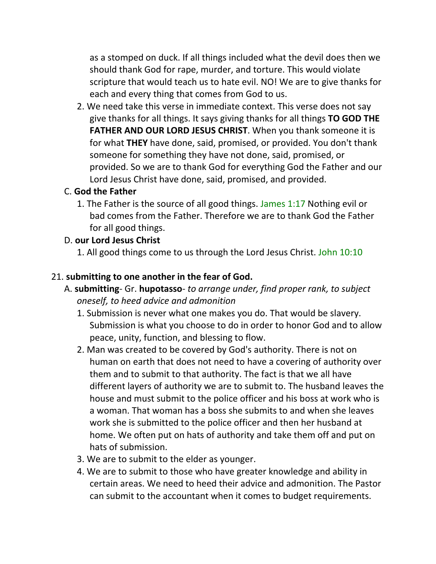as a stomped on duck. If all things included what the devil does then we should thank God for rape, murder, and torture. This would violate scripture that would teach us to hate evil. NO! We are to give thanks for each and every thing that comes from God to us.

2. We need take this verse in immediate context. This verse does not say give thanks for all things. It says giving thanks for all things **TO GOD THE FATHER AND OUR LORD JESUS CHRIST**. When you thank someone it is for what **THEY** have done, said, promised, or provided. You don't thank someone for something they have not done, said, promised, or provided. So we are to thank God for everything God the Father and our Lord Jesus Christ have done, said, promised, and provided.

### C. **God the Father**

1. The Father is the source of all good things. James 1:17 Nothing evil or bad comes from the Father. Therefore we are to thank God the Father for all good things.

### D. **our Lord Jesus Christ**

1. All good things come to us through the Lord Jesus Christ. John 10:10

#### 21. **submitting to one another in the fear of God.**

- A. **submitting** Gr. **hupotasso** *to arrange under, find proper rank, to subject oneself, to heed advice and admonition*
	- 1. Submission is never what one makes you do. That would be slavery. Submission is what you choose to do in order to honor God and to allow peace, unity, function, and blessing to flow.
	- 2. Man was created to be covered by God's authority. There is not on human on earth that does not need to have a covering of authority over them and to submit to that authority. The fact is that we all have different layers of authority we are to submit to. The husband leaves the house and must submit to the police officer and his boss at work who is a woman. That woman has a boss she submits to and when she leaves work she is submitted to the police officer and then her husband at home. We often put on hats of authority and take them off and put on hats of submission.
	- 3. We are to submit to the elder as younger.
	- 4. We are to submit to those who have greater knowledge and ability in certain areas. We need to heed their advice and admonition. The Pastor can submit to the accountant when it comes to budget requirements.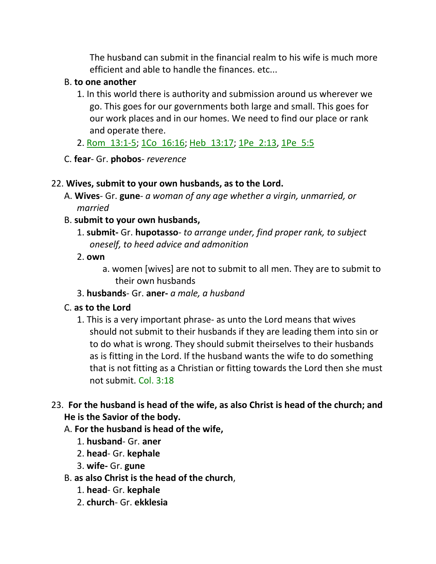The husband can submit in the financial realm to his wife is much more efficient and able to handle the finances. etc...

### B. **to one another**

- 1. In this world there is authority and submission around us wherever we go. This goes for our governments both large and small. This goes for our work places and in our homes. We need to find our place or rank and operate there.
- 2. Rom\_13:1-5; 1Co\_16:16; Heb\_13:17; 1Pe\_2:13, 1Pe\_5:5
- C. **fear** Gr. **phobos** *reverence*

## 22. **Wives, submit to your own husbands, as to the Lord.**

- A. **Wives** Gr. **gune** *a woman of any age whether a virgin, unmarried, or married*
- B. **submit to your own husbands,**
	- 1. **submit-** Gr. **hupotasso** *to arrange under, find proper rank, to subject oneself, to heed advice and admonition*
	- 2. **own**
		- a. women [wives] are not to submit to all men. They are to submit to their own husbands
	- 3. **husbands** Gr. **aner-** *a male, a husband*

## C. **as to the Lord**

1. This is a very important phrase- as unto the Lord means that wives should not submit to their husbands if they are leading them into sin or to do what is wrong. They should submit theirselves to their husbands as is fitting in the Lord. If the husband wants the wife to do something that is not fitting as a Christian or fitting towards the Lord then she must not submit. Col. 3:18

## 23. **For the husband is head of the wife, as also Christ is head of the church; and He is the Savior of the body.**

- A. **For the husband is head of the wife,**
	- 1. **husband** Gr. **aner**
	- 2. **head** Gr. **kephale**
	- 3. **wife-** Gr. **gune**
- B. **as also Christ is the head of the church**,
	- 1. **head** Gr. **kephale**
	- 2. **church** Gr. **ekklesia**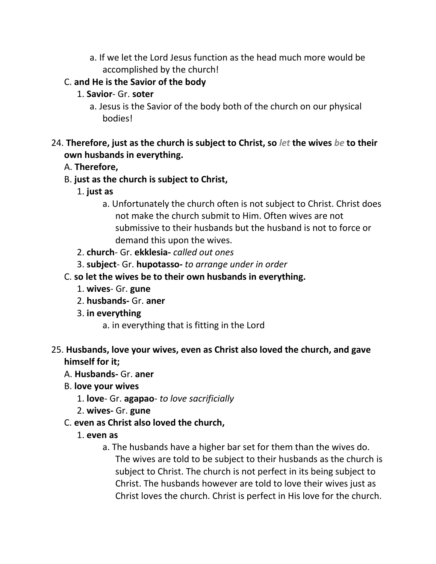a. If we let the Lord Jesus function as the head much more would be accomplished by the church!

## C. **and He is the Savior of the body**

- 1. **Savior** Gr. **soter**
	- a. Jesus is the Savior of the body both of the church on our physical bodies!

## 24. **Therefore, just as the church is subject to Christ, so** *let* **the wives** *be* **to their own husbands in everything.**

## A. **Therefore,**

- B. **just as the church is subject to Christ,**
	- 1. **just as**
		- a. Unfortunately the church often is not subject to Christ. Christ does not make the church submit to Him. Often wives are not submissive to their husbands but the husband is not to force or demand this upon the wives.
	- 2. **church** Gr. **ekklesia-** *called out ones*
	- 3. **subject** Gr. **hupotasso-** *to arrange under in order*
- C. **so let the wives be to their own husbands in everything.**
	- 1. **wives** Gr. **gune**
	- 2. **husbands-** Gr. **aner**
	- 3. **in everything**
		- a. in everything that is fitting in the Lord
- 25. **Husbands, love your wives, even as Christ also loved the church, and gave himself for it;** 
	- A. **Husbands-** Gr. **aner**
	- B. **love your wives**
		- 1. **love** Gr. **agapao** *to love sacrificially*
		- 2. **wives-** Gr. **gune**
	- C. **even as Christ also loved the church,**
		- 1. **even as**
			- a. The husbands have a higher bar set for them than the wives do. The wives are told to be subject to their husbands as the church is subject to Christ. The church is not perfect in its being subject to Christ. The husbands however are told to love their wives just as Christ loves the church. Christ is perfect in His love for the church.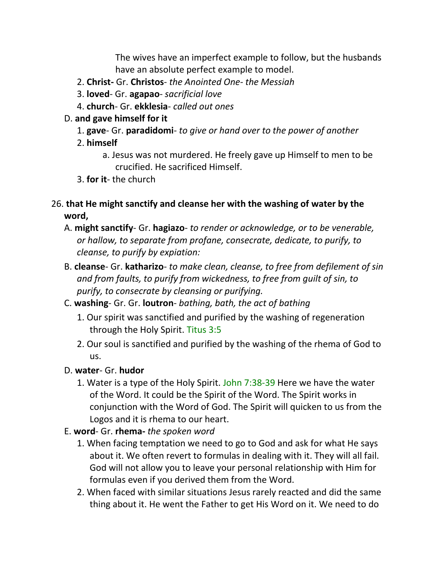The wives have an imperfect example to follow, but the husbands have an absolute perfect example to model.

- 2. **Christ-** Gr. **Christos** *the Anointed One- the Messiah*
- 3. **loved** Gr. **agapao** *sacrificial love*
- 4. **church** Gr. **ekklesia** *called out ones*

### D. **and gave himself for it**

- 1. **gave** Gr. **paradidomi** *to give or hand over to the power of another*
- 2. **himself**
	- a. Jesus was not murdered. He freely gave up Himself to men to be crucified. He sacrificed Himself.
- 3. **for it** the church
- 26. **that He might sanctify and cleanse her with the washing of water by the word,**
	- A. **might sanctify** Gr. **hagiazo** *to render or acknowledge, or to be venerable, or hallow, to separate from profane, consecrate, dedicate, to purify, to cleanse, to purify by expiation:*
	- B. **cleanse** Gr. **katharizo** *to make clean, cleanse, to free from defilement of sin and from faults, to purify from wickedness, to free from guilt of sin, to purify, to consecrate by cleansing or purifying.*
	- C. **washing** Gr. Gr. **loutron** *bathing, bath, the act of bathing*
		- 1. Our spirit was sanctified and purified by the washing of regeneration through the Holy Spirit. Titus 3:5
		- 2. Our soul is sanctified and purified by the washing of the rhema of God to us.
	- D. **water** Gr. **hudor**
		- 1. Water is a type of the Holy Spirit. John 7:38-39 Here we have the water of the Word. It could be the Spirit of the Word. The Spirit works in conjunction with the Word of God. The Spirit will quicken to us from the Logos and it is rhema to our heart.
	- E. **word** Gr. **rhema-** *the spoken word*
		- 1. When facing temptation we need to go to God and ask for what He says about it. We often revert to formulas in dealing with it. They will all fail. God will not allow you to leave your personal relationship with Him for formulas even if you derived them from the Word.
		- 2. When faced with similar situations Jesus rarely reacted and did the same thing about it. He went the Father to get His Word on it. We need to do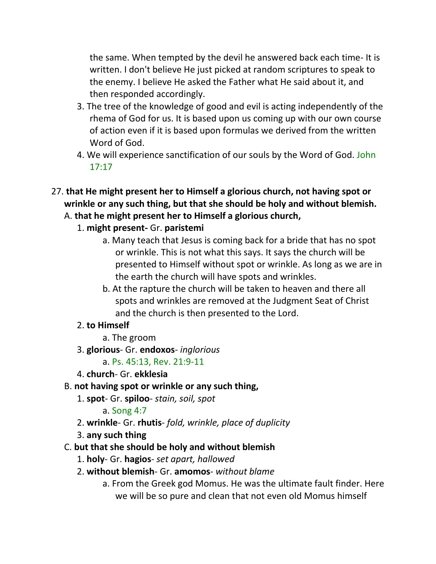the same. When tempted by the devil he answered back each time- It is written. I don't believe He just picked at random scriptures to speak to the enemy. I believe He asked the Father what He said about it, and then responded accordingly.

- 3. The tree of the knowledge of good and evil is acting independently of the rhema of God for us. It is based upon us coming up with our own course of action even if it is based upon formulas we derived from the written Word of God.
- 4. We will experience sanctification of our souls by the Word of God. John 17:17
- 27. **that He might present her to Himself a glorious church, not having spot or wrinkle or any such thing, but that she should be holy and without blemish.** 
	- A. **that he might present her to Himself a glorious church,**
		- 1. **might present-** Gr. **paristemi**
			- a. Many teach that Jesus is coming back for a bride that has no spot or wrinkle. This is not what this says. It says the church will be presented to Himself without spot or wrinkle. As long as we are in the earth the church will have spots and wrinkles.
			- b. At the rapture the church will be taken to heaven and there all spots and wrinkles are removed at the Judgment Seat of Christ and the church is then presented to the Lord.

## 2. **to Himself**

- a. The groom
- 3. **glorious** Gr. **endoxos** *inglorious*
	- a. Ps. 45:13, Rev. 21:9-11
- 4. **church** Gr. **ekklesia**
- B. **not having spot or wrinkle or any such thing,**
	- 1. **spot** Gr. **spiloo** *stain, soil, spot*
		- a. Song 4:7
	- 2. **wrinkle** Gr. **rhutis** *fold, wrinkle, place of duplicity*
	- 3. **any such thing**

# C. **but that she should be holy and without blemish**

- 1. **holy** Gr. **hagios** *set apart, hallowed*
- 2. **without blemish** Gr. **amomos** *without blame* 
	- a. From the Greek god Momus. He was the ultimate fault finder. Here we will be so pure and clean that not even old Momus himself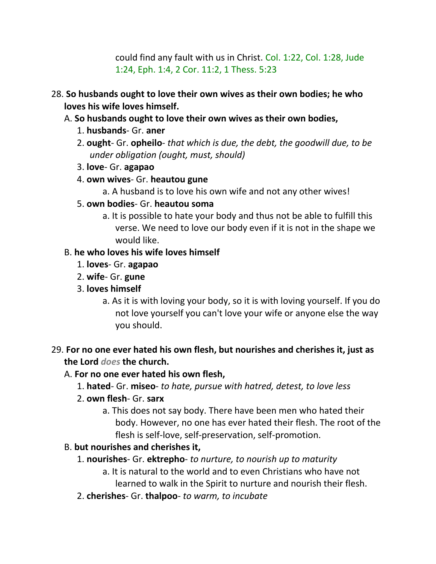could find any fault with us in Christ. Col. 1:22, Col. 1:28, Jude 1:24, Eph. 1:4, 2 Cor. 11:2, 1 Thess. 5:23

- 28. **So husbands ought to love their own wives as their own bodies; he who loves his wife loves himself.**
	- A. **So husbands ought to love their own wives as their own bodies,**
		- 1. **husbands** Gr. **aner**
		- 2. **ought** Gr. **opheilo** *that which is due, the debt, the goodwill due, to be under obligation (ought, must, should)*
		- 3. **love** Gr. **agapao**
		- 4. **own wives** Gr. **heautou gune**
			- a. A husband is to love his own wife and not any other wives!
		- 5. **own bodies** Gr. **heautou soma**
			- a. It is possible to hate your body and thus not be able to fulfill this verse. We need to love our body even if it is not in the shape we would like.

### B. **he who loves his wife loves himself**

- 1. **loves** Gr. **agapao**
- 2. **wife** Gr. **gune**
- 3. **loves himself**
	- a. As it is with loving your body, so it is with loving yourself. If you do not love yourself you can't love your wife or anyone else the way you should.
- 29. **For no one ever hated his own flesh, but nourishes and cherishes it, just as the Lord** *does* **the church.**

## A. **For no one ever hated his own flesh,**

- 1. **hated** Gr. **miseo** *to hate, pursue with hatred, detest, to love less*
- 2. **own flesh** Gr. **sarx**
	- a. This does not say body. There have been men who hated their body. However, no one has ever hated their flesh. The root of the flesh is self-love, self-preservation, self-promotion.

## B. **but nourishes and cherishes it,**

- 1. **nourishes** Gr. **ektrepho** *to nurture, to nourish up to maturity*
	- a. It is natural to the world and to even Christians who have not learned to walk in the Spirit to nurture and nourish their flesh.
- 2. **cherishes** Gr. **thalpoo** *to warm, to incubate*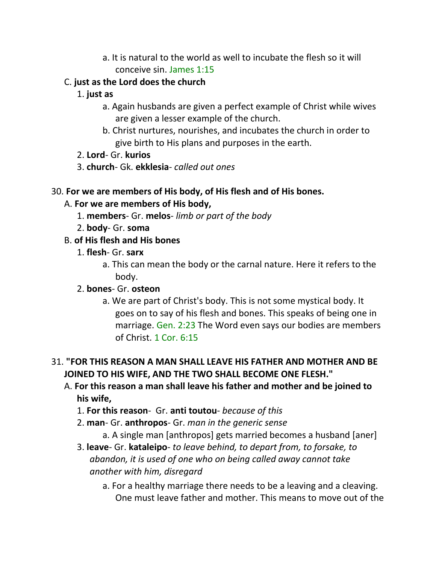- a. It is natural to the world as well to incubate the flesh so it will conceive sin. James 1:15
- C. **just as the Lord does the church**
	- 1. **just as**
		- a. Again husbands are given a perfect example of Christ while wives are given a lesser example of the church.
		- b. Christ nurtures, nourishes, and incubates the church in order to give birth to His plans and purposes in the earth.
	- 2. **Lord** Gr. **kurios**
	- 3. **church** Gk. **ekklesia** *called out ones*

### 30. **For we are members of His body, of His flesh and of His bones.**

## A. **For we are members of His body,**

- 1. **members** Gr. **melos** *limb or part of the body*
- 2. **body** Gr. **soma**
- B. **of His flesh and His bones**
	- 1. **flesh** Gr. **sarx**
		- a. This can mean the body or the carnal nature. Here it refers to the body.
	- 2. **bones** Gr. **osteon** 
		- a. We are part of Christ's body. This is not some mystical body. It goes on to say of his flesh and bones. This speaks of being one in marriage. Gen. 2:23 The Word even says our bodies are members of Christ. 1 Cor. 6:15

# 31. **"FOR THIS REASON A MAN SHALL LEAVE HIS FATHER AND MOTHER AND BE JOINED TO HIS WIFE, AND THE TWO SHALL BECOME ONE FLESH."**

- A. **For this reason a man shall leave his father and mother and be joined to his wife,**
	- 1. **For this reason** Gr. **anti toutou** *because of this*
	- 2. **man** Gr. **anthropos** Gr. *man in the generic sense*
		- a. A single man [anthropos] gets married becomes a husband [aner]
	- 3. **leave** Gr. **kataleipo** *to leave behind, to depart from, to forsake, to abandon, it is used of one who on being called away cannot take another with him, disregard*
		- a. For a healthy marriage there needs to be a leaving and a cleaving. One must leave father and mother. This means to move out of the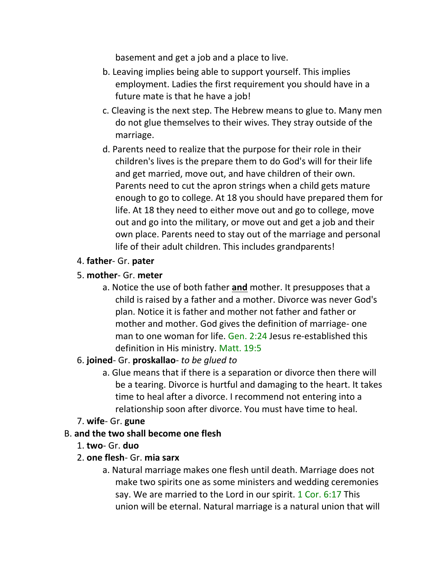basement and get a job and a place to live.

- b. Leaving implies being able to support yourself. This implies employment. Ladies the first requirement you should have in a future mate is that he have a job!
- c. Cleaving is the next step. The Hebrew means to glue to. Many men do not glue themselves to their wives. They stray outside of the marriage.
- d. Parents need to realize that the purpose for their role in their children's lives is the prepare them to do God's will for their life and get married, move out, and have children of their own. Parents need to cut the apron strings when a child gets mature enough to go to college. At 18 you should have prepared them for life. At 18 they need to either move out and go to college, move out and go into the military, or move out and get a job and their own place. Parents need to stay out of the marriage and personal life of their adult children. This includes grandparents!

## 4. **father**- Gr. **pater**

### 5. **mother**- Gr. **meter**

a. Notice the use of both father **and** mother. It presupposes that a child is raised by a father and a mother. Divorce was never God's plan. Notice it is father and mother not father and father or mother and mother. God gives the definition of marriage- one man to one woman for life. Gen. 2:24 Jesus re-established this definition in His ministry. Matt. 19:5

#### 6. **joined**- Gr. **proskallao**- *to be glued to*

a. Glue means that if there is a separation or divorce then there will be a tearing. Divorce is hurtful and damaging to the heart. It takes time to heal after a divorce. I recommend not entering into a relationship soon after divorce. You must have time to heal.

#### 7. **wife**- Gr. **gune**

#### B. **and the two shall become one flesh**

- 1. **two** Gr. **duo**
- 2. **one flesh** Gr. **mia sarx**
	- a. Natural marriage makes one flesh until death. Marriage does not make two spirits one as some ministers and wedding ceremonies say. We are married to the Lord in our spirit. 1 Cor. 6:17 This union will be eternal. Natural marriage is a natural union that will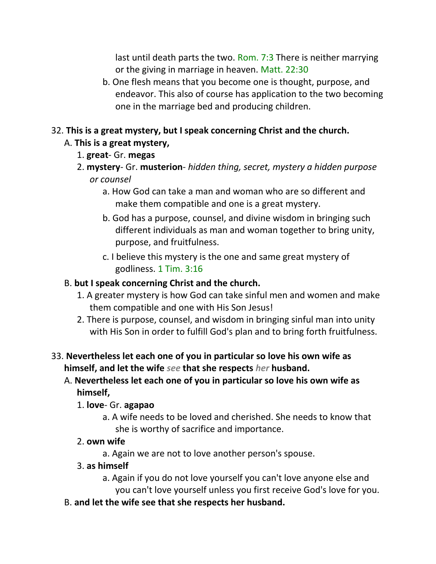last until death parts the two. Rom. 7:3 There is neither marrying or the giving in marriage in heaven. Matt. 22:30

b. One flesh means that you become one is thought, purpose, and endeavor. This also of course has application to the two becoming one in the marriage bed and producing children.

## 32. **This is a great mystery, but I speak concerning Christ and the church.**

# A. **This is a great mystery,**

- 1. **great** Gr. **megas**
- 2. **mystery** Gr. **musterion** *hidden thing, secret, mystery a hidden purpose or counsel*
	- a. How God can take a man and woman who are so different and make them compatible and one is a great mystery.
	- b. God has a purpose, counsel, and divine wisdom in bringing such different individuals as man and woman together to bring unity, purpose, and fruitfulness.
	- c. I believe this mystery is the one and same great mystery of godliness. 1 Tim. 3:16

## B. **but I speak concerning Christ and the church.**

- 1. A greater mystery is how God can take sinful men and women and make them compatible and one with His Son Jesus!
- 2. There is purpose, counsel, and wisdom in bringing sinful man into unity with His Son in order to fulfill God's plan and to bring forth fruitfulness.

## 33. **Nevertheless let each one of you in particular so love his own wife as himself, and let the wife** *see* **that she respects** *her* **husband.**

A. **Nevertheless let each one of you in particular so love his own wife as himself,**

## 1. **love**- Gr. **agapao**

a. A wife needs to be loved and cherished. She needs to know that she is worthy of sacrifice and importance.

## 2. **own wife**

a. Again we are not to love another person's spouse.

# 3. **as himself**

- a. Again if you do not love yourself you can't love anyone else and you can't love yourself unless you first receive God's love for you.
- B. **and let the wife see that she respects her husband.**